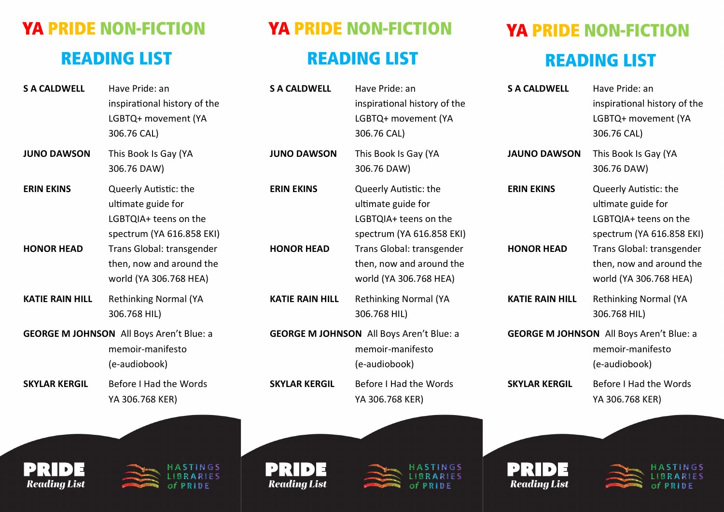## **YA PRIDE NON-FICTION READING LIST**

| <b>S A CALDWELL</b>                    | Have Pride: an<br>inspirational history of the<br>LGBTQ+ movement (YA<br>306.76 CAL)                                                                                                 |
|----------------------------------------|--------------------------------------------------------------------------------------------------------------------------------------------------------------------------------------|
| <b>JUNO DAWSON</b>                     | This Book Is Gay (YA<br>306.76 DAW)                                                                                                                                                  |
| <b>ERIN EKINS</b><br><b>HONOR HEAD</b> | Queerly Autistic: the<br>ultimate guide for<br>LGBTQIA+ teens on the<br>spectrum (YA 616.858 EKI)<br>Trans Global: transgender<br>then, now and around the<br>world (YA 306.768 HEA) |
| <b>KATIE RAIN HILL</b>                 | <b>Rethinking Normal (YA</b><br>306.768 HIL)                                                                                                                                         |
|                                        | <b>GEORGE M JOHNSON</b> All Boys Aren't Blue: a<br>memoir-manifesto<br>(e-audiobook)                                                                                                 |
| <b>SKYLAR KERGIL</b>                   | Before I Had the Words<br>YA 306.768 KER)                                                                                                                                            |





**STINGS BRARIES**  $of PRIDE$